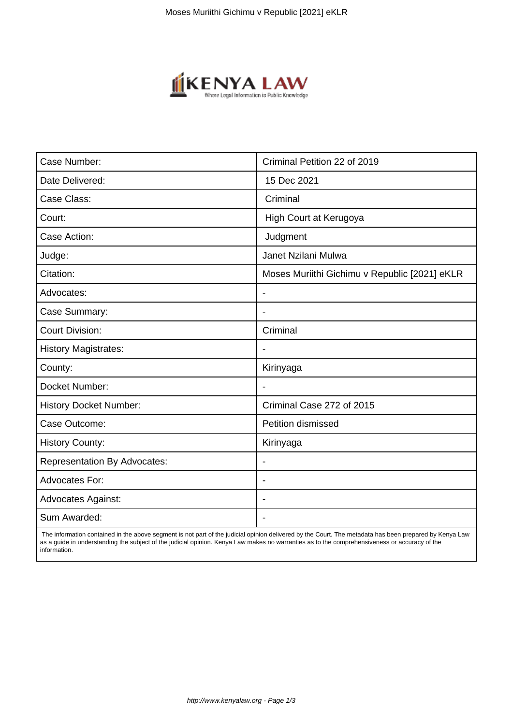

| Case Number:                        | Criminal Petition 22 of 2019                  |
|-------------------------------------|-----------------------------------------------|
| Date Delivered:                     | 15 Dec 2021                                   |
| Case Class:                         | Criminal                                      |
| Court:                              | High Court at Kerugoya                        |
| Case Action:                        | Judgment                                      |
| Judge:                              | Janet Nzilani Mulwa                           |
| Citation:                           | Moses Muriithi Gichimu v Republic [2021] eKLR |
| Advocates:                          | $\blacksquare$                                |
| Case Summary:                       |                                               |
| <b>Court Division:</b>              | Criminal                                      |
| <b>History Magistrates:</b>         |                                               |
| County:                             | Kirinyaga                                     |
| Docket Number:                      |                                               |
| <b>History Docket Number:</b>       | Criminal Case 272 of 2015                     |
| Case Outcome:                       | <b>Petition dismissed</b>                     |
| <b>History County:</b>              | Kirinyaga                                     |
| <b>Representation By Advocates:</b> | $\blacksquare$                                |
| <b>Advocates For:</b>               | $\overline{\phantom{a}}$                      |
| <b>Advocates Against:</b>           |                                               |
| Sum Awarded:                        |                                               |

 The information contained in the above segment is not part of the judicial opinion delivered by the Court. The metadata has been prepared by Kenya Law as a guide in understanding the subject of the judicial opinion. Kenya Law makes no warranties as to the comprehensiveness or accuracy of the information.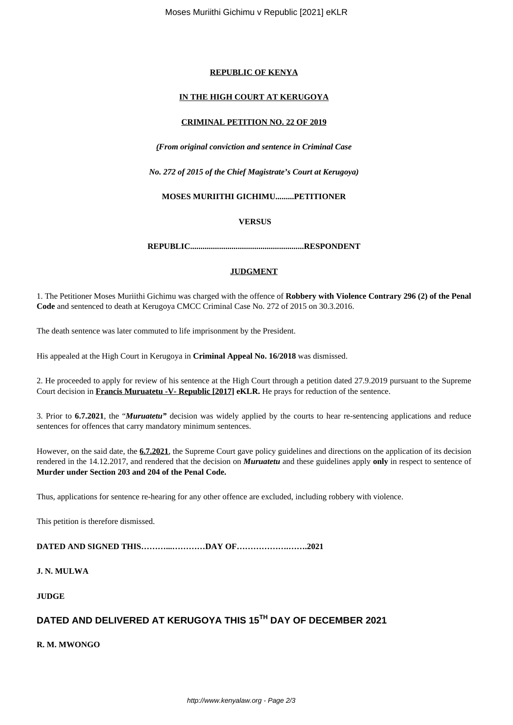## **REPUBLIC OF KENYA**

## **IN THE HIGH COURT AT KERUGOYA**

#### **CRIMINAL PETITION NO. 22 OF 2019**

*(From original conviction and sentence in Criminal Case*

*No. 272 of 2015 of the Chief Magistrate's Court at Kerugoya)*

#### **MOSES MURIITHI GICHIMU.........PETITIONER**

**VERSUS**

**REPUBLIC.......................................................RESPONDENT**

# **JUDGMENT**

1. The Petitioner Moses Muriithi Gichimu was charged with the offence of **Robbery with Violence Contrary 296 (2) of the Penal Code** and sentenced to death at Kerugoya CMCC Criminal Case No. 272 of 2015 on 30.3.2016.

The death sentence was later commuted to life imprisonment by the President.

His appealed at the High Court in Kerugoya in **Criminal Appeal No. 16/2018** was dismissed.

2. He proceeded to apply for review of his sentence at the High Court through a petition dated 27.9.2019 pursuant to the Supreme Court decision in **Francis Muruatetu -V- Republic [2017] eKLR.** He prays for reduction of the sentence.

3. Prior to **6.7.2021**, the "*Muruatetu"* decision was widely applied by the courts to hear re-sentencing applications and reduce sentences for offences that carry mandatory minimum sentences.

However, on the said date, the **6.7.2021**, the Supreme Court gave policy guidelines and directions on the application of its decision rendered in the 14.12.2017, and rendered that the decision on *Muruatetu* and these guidelines apply **only** in respect to sentence of **Murder under Section 203 and 204 of the Penal Code.**

Thus, applications for sentence re-hearing for any other offence are excluded, including robbery with violence.

This petition is therefore dismissed.

**DATED AND SIGNED THIS………...…………DAY OF……………….…….2021**

**J. N. MULWA**

**JUDGE**

# **DATED AND DELIVERED AT KERUGOYA THIS 15TH DAY OF DECEMBER 2021**

**R. M. MWONGO**